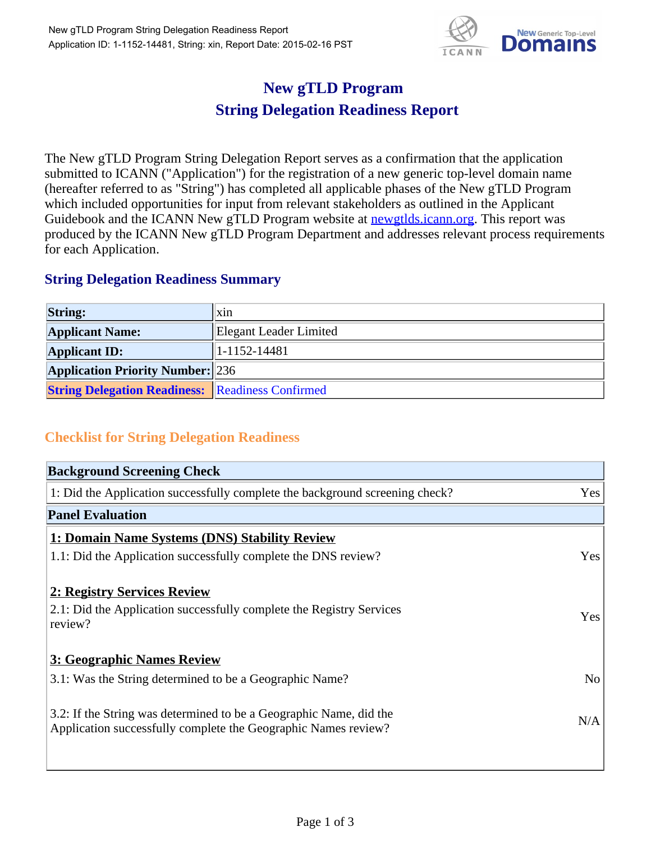

## **New gTLD Program String Delegation Readiness Report**

The New gTLD Program String Delegation Report serves as a confirmation that the application submitted to ICANN ("Application") for the registration of a new generic top-level domain name (hereafter referred to as "String") has completed all applicable phases of the New gTLD Program which included opportunities for input from relevant stakeholders as outlined in the Applicant Guidebook and the ICANN New gTLD Program website at newgtlds.icann.org. This report was produced by the ICANN New gTLD Program Department and addresses relevant process requirements for each Application.

## **String Delegation Readiness Summary**

| <b>String:</b>                                          | $\overline{\text{X}}$ <sub>1</sub> |
|---------------------------------------------------------|------------------------------------|
| <b>Applicant Name:</b>                                  | Elegant Leader Limited             |
| <b>Applicant ID:</b>                                    | $ 1-1152-14481$                    |
| <b>Application Priority Number: 236</b>                 |                                    |
| <b>String Delegation Readiness: Readiness Confirmed</b> |                                    |

## **Checklist for String Delegation Readiness**

| <b>Background Screening Check</b>                                            |                |
|------------------------------------------------------------------------------|----------------|
| 1: Did the Application successfully complete the background screening check? | Yes            |
| <b>Panel Evaluation</b>                                                      |                |
| 1: Domain Name Systems (DNS) Stability Review                                |                |
| 1.1: Did the Application successfully complete the DNS review?               | Yes            |
| 2: Registry Services Review                                                  |                |
| 2.1: Did the Application successfully complete the Registry Services         | Yes            |
| review?                                                                      |                |
| <b>3: Geographic Names Review</b>                                            |                |
| 3.1: Was the String determined to be a Geographic Name?                      | N <sub>o</sub> |
| 3.2: If the String was determined to be a Geographic Name, did the           |                |
| Application successfully complete the Geographic Names review?               | N/A            |
|                                                                              |                |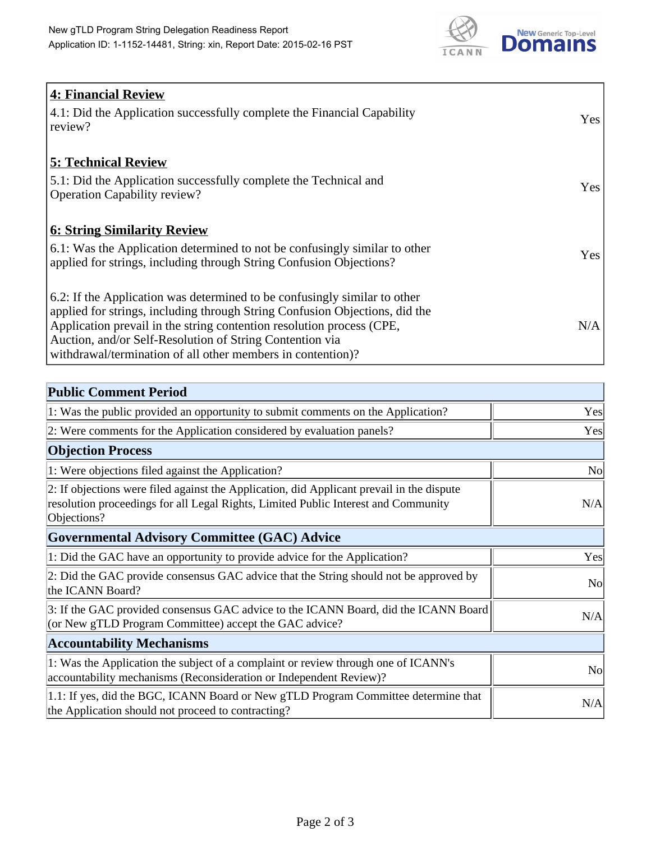

| <b>4: Financial Review</b>                                                  |     |
|-----------------------------------------------------------------------------|-----|
| 4.1: Did the Application successfully complete the Financial Capability     | Yes |
| review?                                                                     |     |
|                                                                             |     |
| <b>5: Technical Review</b>                                                  |     |
| 5.1: Did the Application successfully complete the Technical and            | Yes |
| <b>Operation Capability review?</b>                                         |     |
| <b>6: String Similarity Review</b>                                          |     |
| 6.1: Was the Application determined to not be confusingly similar to other  |     |
| applied for strings, including through String Confusion Objections?         | Yes |
|                                                                             |     |
| 6.2: If the Application was determined to be confusingly similar to other   |     |
| applied for strings, including through String Confusion Objections, did the |     |
| Application prevail in the string contention resolution process (CPE,       | N/A |
| Auction, and/or Self-Resolution of String Contention via                    |     |
| withdrawal/termination of all other members in contention)?                 |     |

| <b>Public Comment Period</b>                                                                                                                                                                   |                |
|------------------------------------------------------------------------------------------------------------------------------------------------------------------------------------------------|----------------|
| 1: Was the public provided an opportunity to submit comments on the Application?                                                                                                               | Yes            |
| 2: Were comments for the Application considered by evaluation panels?                                                                                                                          | Yes            |
| <b>Objection Process</b>                                                                                                                                                                       |                |
| 1: Were objections filed against the Application?                                                                                                                                              | N <sub>0</sub> |
| 2: If objections were filed against the Application, did Applicant prevail in the dispute<br>resolution proceedings for all Legal Rights, Limited Public Interest and Community<br>Objections? | N/A            |
| Governmental Advisory Committee (GAC) Advice                                                                                                                                                   |                |
| 1: Did the GAC have an opportunity to provide advice for the Application?                                                                                                                      | Yes            |
| 2: Did the GAC provide consensus GAC advice that the String should not be approved by<br>the ICANN Board?                                                                                      | <b>No</b>      |
| 3: If the GAC provided consensus GAC advice to the ICANN Board, did the ICANN Board<br>(or New gTLD Program Committee) accept the GAC advice?                                                  | N/A            |
| <b>Accountability Mechanisms</b>                                                                                                                                                               |                |
| 1: Was the Application the subject of a complaint or review through one of ICANN's<br>accountability mechanisms (Reconsideration or Independent Review)?                                       | N <sub>0</sub> |
| 1.1: If yes, did the BGC, ICANN Board or New gTLD Program Committee determine that<br>the Application should not proceed to contracting?                                                       | N/A            |